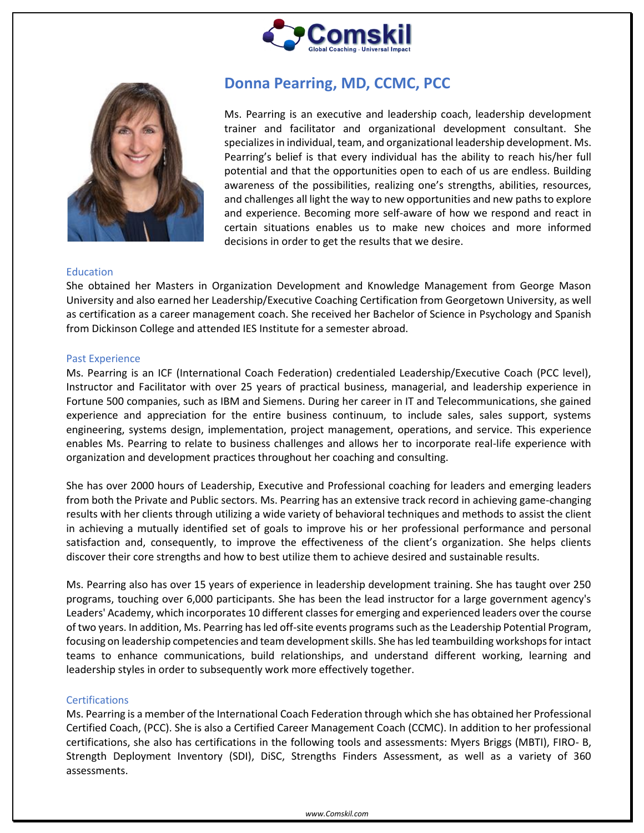



# **Donna Pearring, MD, CCMC, PCC**

Ms. Pearring is an executive and leadership coach, leadership development trainer and facilitator and organizational development consultant. She specializes in individual, team, and organizational leadership development. Ms. Pearring's belief is that every individual has the ability to reach his/her full potential and that the opportunities open to each of us are endless. Building awareness of the possibilities, realizing one's strengths, abilities, resources, and challenges all light the way to new opportunities and new paths to explore and experience. Becoming more self-aware of how we respond and react in certain situations enables us to make new choices and more informed decisions in order to get the results that we desire.

## Education

She obtained her Masters in Organization Development and Knowledge Management from George Mason University and also earned her Leadership/Executive Coaching Certification from Georgetown University, as well as certification as a career management coach. She received her Bachelor of Science in Psychology and Spanish from Dickinson College and attended IES Institute for a semester abroad.

#### Past Experience

Ms. Pearring is an ICF (International Coach Federation) credentialed Leadership/Executive Coach (PCC level), Instructor and Facilitator with over 25 years of practical business, managerial, and leadership experience in Fortune 500 companies, such as IBM and Siemens. During her career in IT and Telecommunications, she gained experience and appreciation for the entire business continuum, to include sales, sales support, systems engineering, systems design, implementation, project management, operations, and service. This experience enables Ms. Pearring to relate to business challenges and allows her to incorporate real-life experience with organization and development practices throughout her coaching and consulting.

She has over 2000 hours of Leadership, Executive and Professional coaching for leaders and emerging leaders from both the Private and Public sectors. Ms. Pearring has an extensive track record in achieving game-changing results with her clients through utilizing a wide variety of behavioral techniques and methods to assist the client in achieving a mutually identified set of goals to improve his or her professional performance and personal satisfaction and, consequently, to improve the effectiveness of the client's organization. She helps clients discover their core strengths and how to best utilize them to achieve desired and sustainable results.

Ms. Pearring also has over 15 years of experience in leadership development training. She has taught over 250 programs, touching over 6,000 participants. She has been the lead instructor for a large government agency's Leaders' Academy, which incorporates 10 different classes for emerging and experienced leaders over the course of two years. In addition, Ms. Pearring has led off-site events programs such as the Leadership Potential Program, focusing on leadership competencies and team development skills. She has led teambuilding workshops for intact teams to enhance communications, build relationships, and understand different working, learning and leadership styles in order to subsequently work more effectively together.

## **Certifications**

Ms. Pearring is a member of the International Coach Federation through which she has obtained her Professional Certified Coach, (PCC). She is also a Certified Career Management Coach (CCMC). In addition to her professional certifications, she also has certifications in the following tools and assessments: Myers Briggs (MBTI), FIRO- B, Strength Deployment Inventory (SDI), DiSC, Strengths Finders Assessment, as well as a variety of 360 assessments.